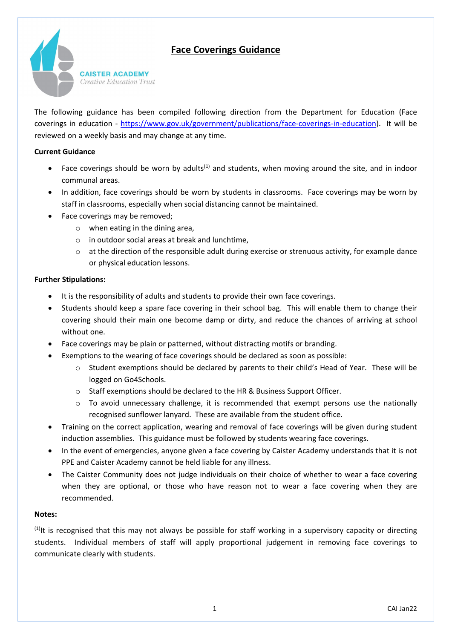# **Face Coverings Guidance**



The following guidance has been compiled following direction from the Department for Education (Face coverings in education - [https://www.gov.uk/government/publications/face-coverings-in-education\)](https://www.gov.uk/government/publications/face-coverings-in-education). It will be reviewed on a weekly basis and may change at any time.

### **Current Guidance**

- Face coverings should be worn by adults<sup>(1)</sup> and students, when moving around the site, and in indoor communal areas.
- In addition, face coverings should be worn by students in classrooms. Face coverings may be worn by staff in classrooms, especially when social distancing cannot be maintained.
- Face coverings may be removed;
	- o when eating in the dining area,
	- o in outdoor social areas at break and lunchtime,
	- $\circ$  at the direction of the responsible adult during exercise or strenuous activity, for example dance or physical education lessons.

#### **Further Stipulations:**

- It is the responsibility of adults and students to provide their own face coverings.
- Students should keep a spare face covering in their school bag. This will enable them to change their covering should their main one become damp or dirty, and reduce the chances of arriving at school without one.
- Face coverings may be plain or patterned, without distracting motifs or branding.
	- Exemptions to the wearing of face coverings should be declared as soon as possible:
		- o Student exemptions should be declared by parents to their child's Head of Year. These will be logged on Go4Schools.
		- o Staff exemptions should be declared to the HR & Business Support Officer.
		- $\circ$  To avoid unnecessary challenge, it is recommended that exempt persons use the nationally recognised sunflower lanyard. These are available from the student office.
- Training on the correct application, wearing and removal of face coverings will be given during student induction assemblies. This guidance must be followed by students wearing face coverings.
- In the event of emergencies, anyone given a face covering by Caister Academy understands that it is not PPE and Caister Academy cannot be held liable for any illness.
- The Caister Community does not judge individuals on their choice of whether to wear a face covering when they are optional, or those who have reason not to wear a face covering when they are recommended.

#### **Notes:**

 $(1)$ It is recognised that this may not always be possible for staff working in a supervisory capacity or directing students. Individual members of staff will apply proportional judgement in removing face coverings to communicate clearly with students.